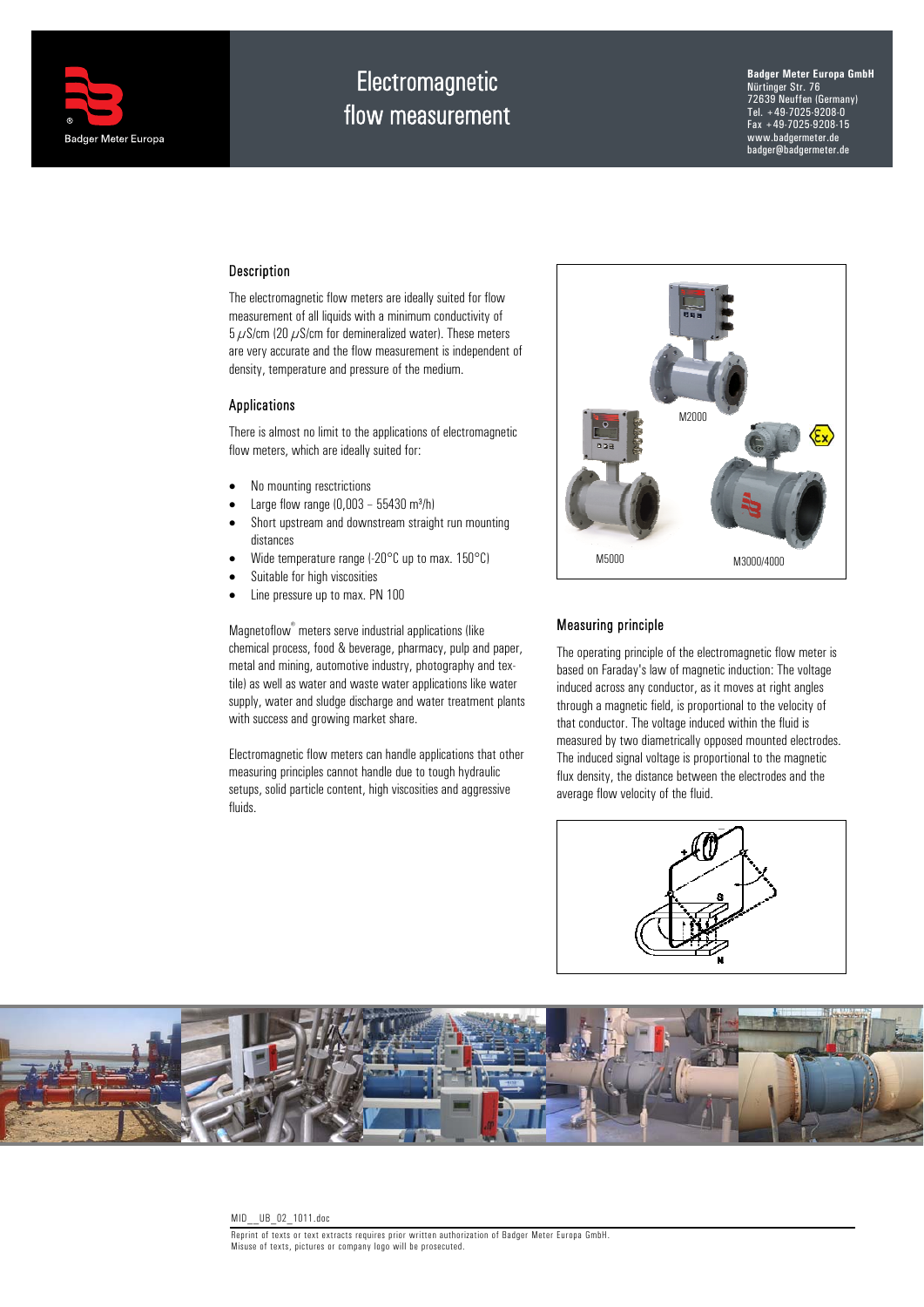

# **Electromagnetic** flow measurement

**Badger Meter Europa GmbH** Nürtinger Str. 76 72639 Neuffen (Germany) Tel. +49-7025-9208-0 Fax +49-7025-9208-15 www.badgermeter.de badger@badgermeter.de

## Description

The electromagnetic flow meters are ideally suited for flow measurement of all liquids with a minimum conductivity of  $5 \mu$ S/cm (20  $\mu$ S/cm for demineralized water). These meters are very accurate and the flow measurement is independent of density, temperature and pressure of the medium.

#### **Applications**

There is almost no limit to the applications of electromagnetic flow meters, which are ideally suited for:

- No mounting resctrictions
- Large flow range  $(0.003 55430 \text{ m}^3/\text{h})$
- Short upstream and downstream straight run mounting distances
- Wide temperature range (-20°C up to max. 150°C)
- Suitable for high viscosities
- Line pressure up to max. PN 100

Magnetoflow® meters serve industrial applications (like chemical process, food & beverage, pharmacy, pulp and paper, metal and mining, automotive industry, photography and textile) as well as water and waste water applications like water supply, water and sludge discharge and water treatment plants with success and growing market share.

Electromagnetic flow meters can handle applications that other measuring principles cannot handle due to tough hydraulic setups, solid particle content, high viscosities and aggressive fluids.



## Measuring principle

The operating principle of the electromagnetic flow meter is based on Faraday's law of magnetic induction: The voltage induced across any conductor, as it moves at right angles through a magnetic field, is proportional to the velocity of that conductor. The voltage induced within the fluid is measured by two diametrically opposed mounted electrodes. The induced signal voltage is proportional to the magnetic flux density, the distance between the electrodes and the average flow velocity of the fluid.



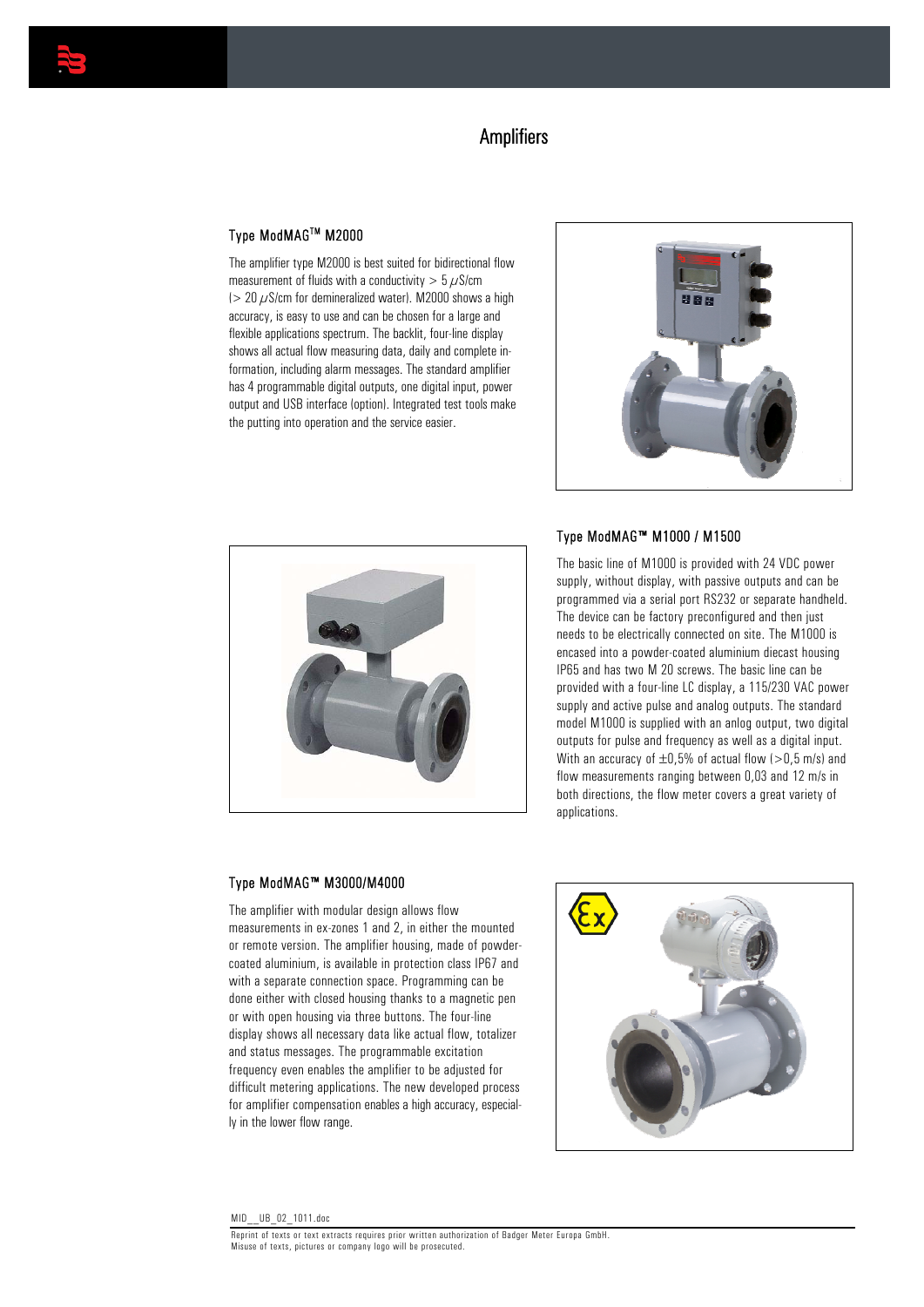

# **Amplifiers**

# Type ModMAGTM M2000

The amplifier type M2000 is best suited for bidirectional flow measurement of fluids with a conductivity  $> 5 \mu$ S/cm ( $> 20 \mu$ S/cm for demineralized water). M2000 shows a high accuracy, is easy to use and can be chosen for a large and flexible applications spectrum. The backlit, four-line display shows all actual flow measuring data, daily and complete information, including alarm messages. The standard amplifier has 4 programmable digital outputs, one digital input, power output and USB interface (option). Integrated test tools make the putting into operation and the service easier.





#### Type ModMAG™ M1000 / M1500

The basic line of M1000 is provided with 24 VDC power supply, without display, with passive outputs and can be programmed via a serial port RS232 or separate handheld. The device can be factory preconfigured and then just needs to be electrically connected on site. The M1000 is encased into a powder-coated aluminium diecast housing IP65 and has two M 20 screws. The basic line can be provided with a four-line LC display, a 115/230 VAC power supply and active pulse and analog outputs. The standard model M1000 is supplied with an anlog output, two digital outputs for pulse and frequency as well as a digital input. With an accuracy of  $\pm 0.5$ % of actual flow ( $> 0.5$  m/s) and flow measurements ranging between 0,03 and 12 m/s in both directions, the flow meter covers a great variety of applications.

#### Type ModMAG™ M3000/M4000

The amplifier with modular design allows flow measurements in ex-zones 1 and 2, in either the mounted or remote version. The amplifier housing, made of powdercoated aluminium, is available in protection class IP67 and with a separate connection space. Programming can be done either with closed housing thanks to a magnetic pen or with open housing via three buttons. The four-line display shows all necessary data like actual flow, totalizer and status messages. The programmable excitation frequency even enables the amplifier to be adjusted for difficult metering applications. The new developed process for amplifier compensation enables a high accuracy, especially in the lower flow range.

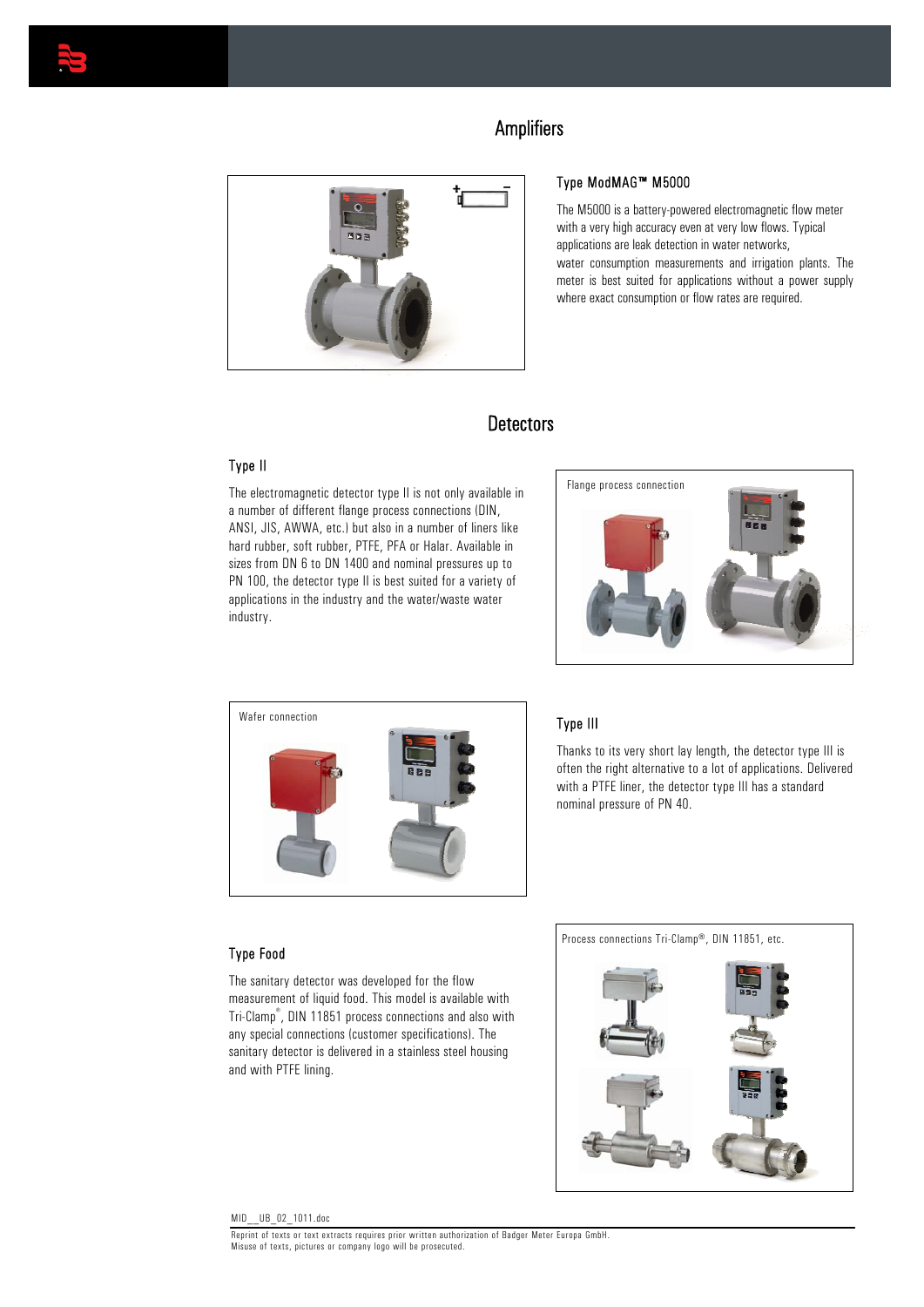

# **Amplifiers**



## Type ModMAG™ M5000

The M5000 is a battery-powered electromagnetic flow meter with a very high accuracy even at very low flows. Typical applications are leak detection in water networks, water consumption measurements and irrigation plants. The meter is best suited for applications without a power supply where exact consumption or flow rates are required.

# **Detectors**

### Type II

The electromagnetic detector type II is not only available in a number of different flange process connections (DIN, ANSI, JIS, AWWA, etc.) but also in a number of liners like hard rubber, soft rubber, PTFE, PFA or Halar. Available in sizes from DN 6 to DN 1400 and nominal pressures up to PN 100, the detector type II is best suited for a variety of applications in the industry and the water/waste water industry.





## Type III

Thanks to its very short lay length, the detector type III is often the right alternative to a lot of applications. Delivered with a PTFE liner, the detector type III has a standard nominal pressure of PN 40.

#### Type Food

The sanitary detector was developed for the flow measurement of liquid food. This model is available with Tri-Clamp® , DIN 11851 process connections and also with any special connections (customer specifications). The sanitary detector is delivered in a stainless steel housing and with PTFE lining.